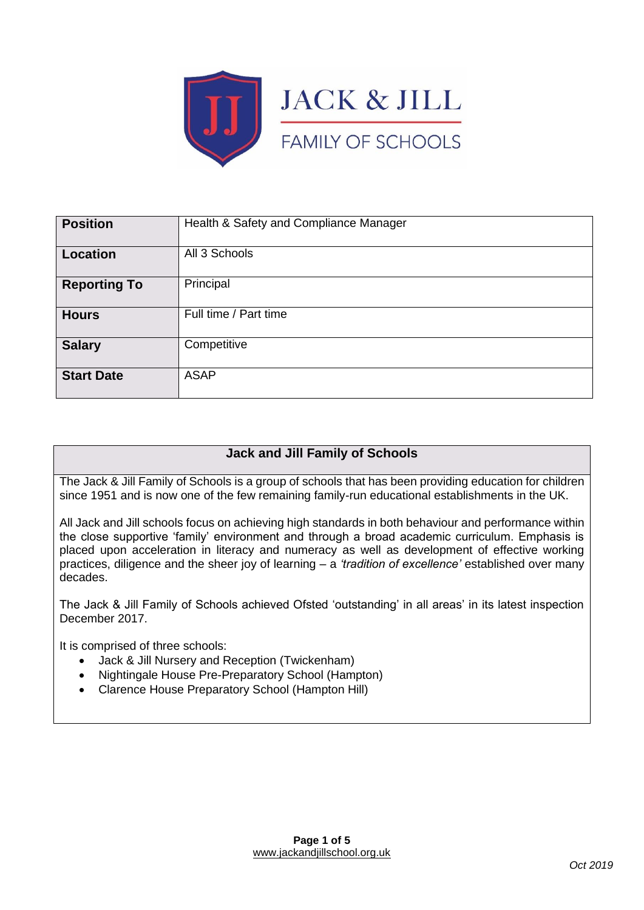

| <b>Position</b>     | Health & Safety and Compliance Manager |
|---------------------|----------------------------------------|
| Location            | All 3 Schools                          |
| <b>Reporting To</b> | Principal                              |
| <b>Hours</b>        | Full time / Part time                  |
| <b>Salary</b>       | Competitive                            |
| <b>Start Date</b>   | <b>ASAP</b>                            |

# **Jack and Jill Family of Schools**

The Jack & Jill Family of Schools is a group of schools that has been providing education for children since 1951 and is now one of the few remaining family-run educational establishments in the UK.

All Jack and Jill schools focus on achieving high standards in both behaviour and performance within the close supportive 'family' environment and through a broad academic curriculum. Emphasis is placed upon acceleration in literacy and numeracy as well as development of effective working practices, diligence and the sheer joy of learning – a *'tradition of excellence'* established over many decades.

The Jack & Jill Family of Schools achieved Ofsted 'outstanding' in all areas' in its latest inspection December 2017.

It is comprised of three schools:

- Jack & Jill Nursery and Reception (Twickenham)
- Nightingale House Pre-Preparatory School (Hampton)
- Clarence House Preparatory School (Hampton Hill)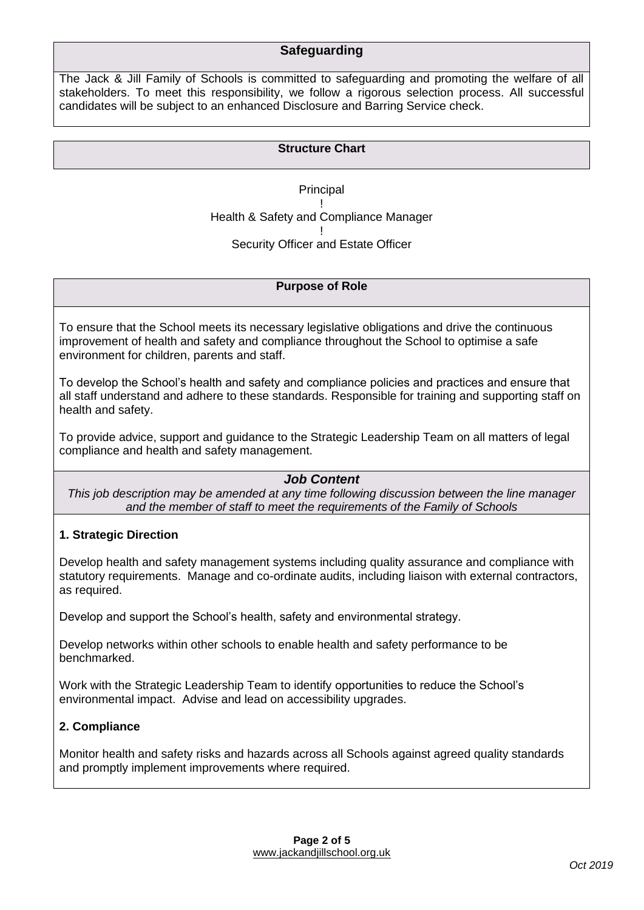## **Safeguarding**

The Jack & Jill Family of Schools is committed to safeguarding and promoting the welfare of all stakeholders. To meet this responsibility, we follow a rigorous selection process. All successful candidates will be subject to an enhanced Disclosure and Barring Service check.

### **Structure Chart**

**Principal** ! Health & Safety and Compliance Manager ! Security Officer and Estate Officer

#### **Purpose of Role**

To ensure that the School meets its necessary legislative obligations and drive the continuous improvement of health and safety and compliance throughout the School to optimise a safe environment for children, parents and staff.

To develop the School's health and safety and compliance policies and practices and ensure that all staff understand and adhere to these standards. Responsible for training and supporting staff on health and safety.

To provide advice, support and guidance to the Strategic Leadership Team on all matters of legal compliance and health and safety management.

### *Job Content*

*This job description may be amended at any time following discussion between the line manager and the member of staff to meet the requirements of the Family of Schools*

### **1. Strategic Direction**

Develop health and safety management systems including quality assurance and compliance with statutory requirements. Manage and co-ordinate audits, including liaison with external contractors, as required.

Develop and support the School's health, safety and environmental strategy.

Develop networks within other schools to enable health and safety performance to be benchmarked.

Work with the Strategic Leadership Team to identify opportunities to reduce the School's environmental impact. Advise and lead on accessibility upgrades.

### **2. Compliance**

Monitor health and safety risks and hazards across all Schools against agreed quality standards and promptly implement improvements where required.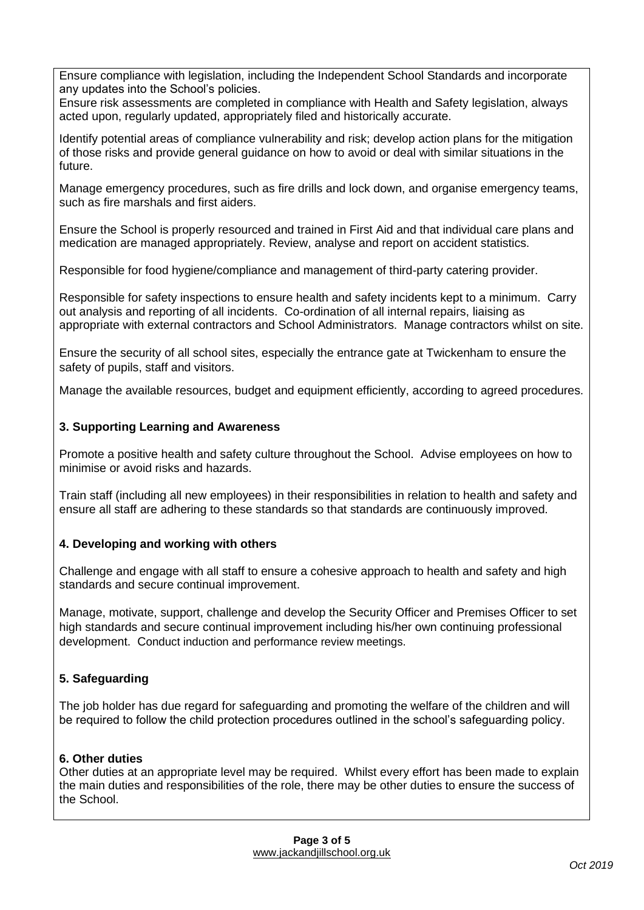Ensure compliance with legislation, including the Independent School Standards and incorporate any updates into the School's policies.

Ensure risk assessments are completed in compliance with Health and Safety legislation, always acted upon, regularly updated, appropriately filed and historically accurate.

Identify potential areas of compliance vulnerability and risk; develop action plans for the mitigation of those risks and provide general guidance on how to avoid or deal with similar situations in the future.

Manage emergency procedures, such as fire drills and lock down, and organise emergency teams, such as fire marshals and first aiders.

Ensure the School is properly resourced and trained in First Aid and that individual care plans and medication are managed appropriately. Review, analyse and report on accident statistics.

Responsible for food hygiene/compliance and management of third-party catering provider.

Responsible for safety inspections to ensure health and safety incidents kept to a minimum. Carry out analysis and reporting of all incidents. Co-ordination of all internal repairs, liaising as appropriate with external contractors and School Administrators. Manage contractors whilst on site.

Ensure the security of all school sites, especially the entrance gate at Twickenham to ensure the safety of pupils, staff and visitors.

Manage the available resources, budget and equipment efficiently, according to agreed procedures.

### **3. Supporting Learning and Awareness**

Promote a positive health and safety culture throughout the School. Advise employees on how to minimise or avoid risks and hazards.

Train staff (including all new employees) in their responsibilities in relation to health and safety and ensure all staff are adhering to these standards so that standards are continuously improved.

#### **4. Developing and working with others**

Challenge and engage with all staff to ensure a cohesive approach to health and safety and high standards and secure continual improvement.

Manage, motivate, support, challenge and develop the Security Officer and Premises Officer to set high standards and secure continual improvement including his/her own continuing professional development. Conduct induction and performance review meetings.

### **5. Safeguarding**

The job holder has due regard for safeguarding and promoting the welfare of the children and will be required to follow the child protection procedures outlined in the school's safeguarding policy.

#### **6. Other duties**

Other duties at an appropriate level may be required. Whilst every effort has been made to explain the main duties and responsibilities of the role, there may be other duties to ensure the success of the School.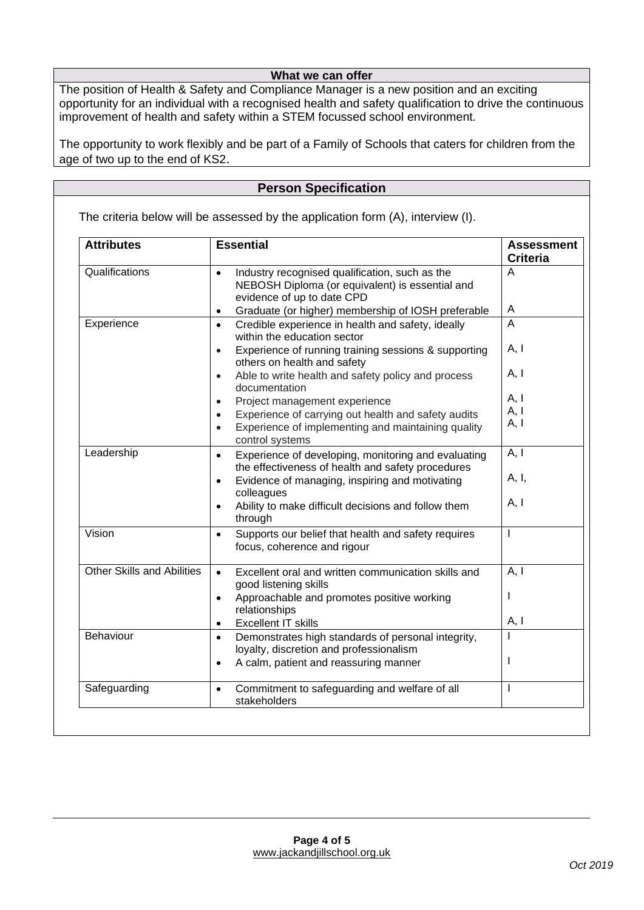### **What we can offer**

The position of Health & Safety and Compliance Manager is a new position and an exciting opportunity for an individual with a recognised health and safety qualification to drive the continuous improvement of health and safety within a STEM focussed school environment.

The opportunity to work flexibly and be part of a Family of Schools that caters for children from the age of two up to the end of KS2.

## **Person Specification**

The criteria below will be assessed by the application form (A), interview (I).

| <b>Attributes</b>                 | <b>Essential</b>                                                                                                                                                                                                                                                                                                                                                                                                                                                    | <b>Assessment</b><br><b>Criteria</b>      |
|-----------------------------------|---------------------------------------------------------------------------------------------------------------------------------------------------------------------------------------------------------------------------------------------------------------------------------------------------------------------------------------------------------------------------------------------------------------------------------------------------------------------|-------------------------------------------|
| Qualifications                    | Industry recognised qualification, such as the<br>$\bullet$<br>NEBOSH Diploma (or equivalent) is essential and<br>evidence of up to date CPD<br>Graduate (or higher) membership of IOSH preferable<br>$\bullet$                                                                                                                                                                                                                                                     | A<br>A                                    |
| Experience                        | Credible experience in health and safety, ideally<br>$\bullet$<br>within the education sector<br>Experience of running training sessions & supporting<br>$\bullet$<br>others on health and safety<br>Able to write health and safety policy and process<br>$\bullet$<br>documentation<br>Project management experience<br>$\bullet$<br>Experience of carrying out health and safety audits<br>Experience of implementing and maintaining quality<br>control systems | A<br>A, I<br>A, I<br>A, I<br>A, I<br>A, I |
| Leadership                        | Experience of developing, monitoring and evaluating<br>$\bullet$<br>the effectiveness of health and safety procedures<br>Evidence of managing, inspiring and motivating<br>$\bullet$<br>colleagues<br>Ability to make difficult decisions and follow them<br>$\bullet$<br>through                                                                                                                                                                                   | A, I<br>A, I,<br>A, I                     |
| Vision                            | Supports our belief that health and safety requires<br>$\bullet$<br>focus, coherence and rigour                                                                                                                                                                                                                                                                                                                                                                     | $\mathbf{I}$                              |
| <b>Other Skills and Abilities</b> | Excellent oral and written communication skills and<br>$\bullet$<br>good listening skills<br>Approachable and promotes positive working<br>$\bullet$<br>relationships<br><b>Excellent IT skills</b><br>$\bullet$                                                                                                                                                                                                                                                    | A, I<br>T<br>A, I                         |
| Behaviour                         | Demonstrates high standards of personal integrity,<br>$\bullet$<br>loyalty, discretion and professionalism<br>A calm, patient and reassuring manner<br>$\bullet$                                                                                                                                                                                                                                                                                                    | T                                         |
| Safeguarding                      | Commitment to safeguarding and welfare of all<br>$\bullet$<br>stakeholders                                                                                                                                                                                                                                                                                                                                                                                          | $\mathbf{I}$                              |